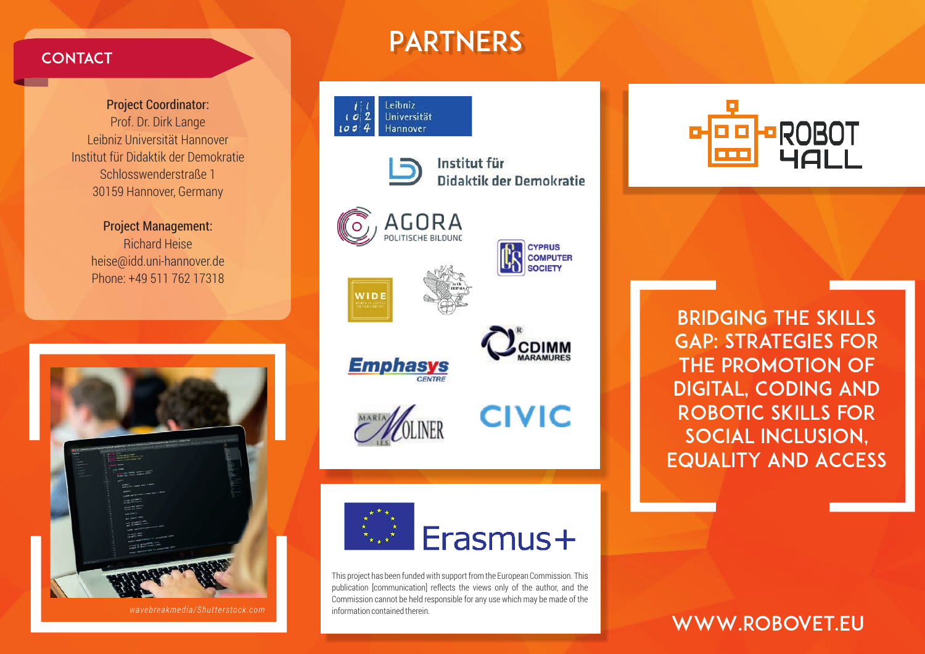#### CONTACT

Project Coordinator: Prof. Dr. Dirk Lange Leibniz Universität Hannover Institut für Didaktik der Demokratie Schlosswenderstraße 1 30159 Hannover, Germany

> Project Management: Richard Heise heise@idd.uni-hannover.de Phone: +49 511 762 17318



*wavebreakmedia/Shutterstock.com* information contained therein.

# **PARTNERS**

Leibniz Universität  $\mathbf{2}$  $10$  $1004$ Hannover



Didaktik der Demokratie AGORA

Institut für



**CYPRUS COMPUTER SOCIETY** 

**Emphasys** CENTER



**CIVIC** 

Erasmus+

This project has been funded with support from the European Commission. This publication [communication] reflects the views only of the author, and the Commission cannot be held responsible for any use which may be made of the



Bridging the Skills Gap: Strategies for THE PROMOTION OF Digital, Coding and Robotic Skills for Social Inclusion, Equality and Access

# www.robovet.eu